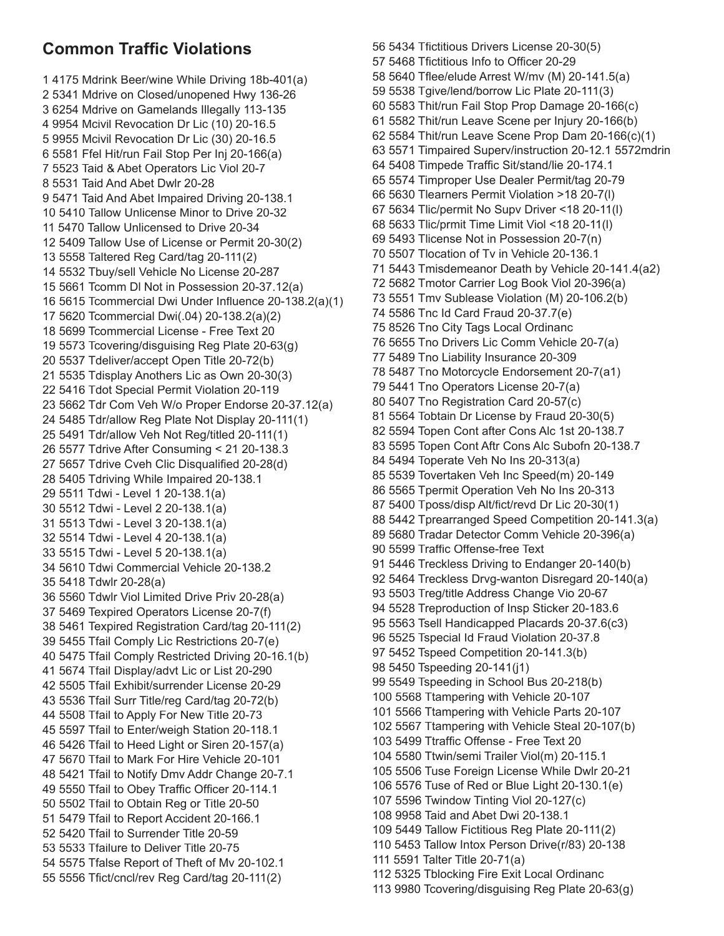## **Common Traffic Violations**

1 4175 Mdrink Beer/wine While Driving 18b-401(a) 2 5341 Mdrive on Closed/unopened Hwy 136-26 3 6254 Mdrive on Gamelands Illegally 113-135 4 9954 Mcivil Revocation Dr Lic (10) 20-16.5 5 9955 Mcivil Revocation Dr Lic (30) 20-16.5 6 5581 Ffel Hit/run Fail Stop Per Inj 20-166(a) 7 5523 Taid & Abet Operators Lic Viol 20-7 8 5531 Taid And Abet Dwlr 20-28 9 5471 Taid And Abet Impaired Driving 20-138.1 10 5410 Tallow Unlicense Minor to Drive 20-32 11 5470 Tallow Unlicensed to Drive 20-34 12 5409 Tallow Use of License or Permit 20-30(2) 13 5558 Taltered Reg Card/tag 20-111(2) 14 5532 Tbuy/sell Vehicle No License 20-287 15 5661 Tcomm DI Not in Possession 20-37.12(a) 16 5615 Tcommercial Dwi Under Influence 20-138.2(a)(1) 17 5620 Tcommercial Dwi(.04) 20-138.2(a)(2) 18 5699 Tcommercial License - Free Text 20 19 5573 Tcovering/disguising Reg Plate 20-63(g) 20 5537 Tdeliver/accept Open Title 20-72(b) 21 5535 Tdisplay Anothers Lic as Own 20-30(3) 22 5416 Tdot Special Permit Violation 20-119 23 5662 Tdr Com Veh W/o Proper Endorse 20-37.12(a) 24 5485 Tdr/allow Reg Plate Not Display 20-111(1) 25 5491 Tdr/allow Veh Not Reg/titled 20-111(1) 26 5577 Tdrive After Consuming < 21 20-138.3 27 5657 Tdrive Cveh Clic Disqualified 20-28(d) 28 5405 Tdriving While Impaired 20-138.1 29 5511 Tdwi - Level 1 20-138.1(a) 30 5512 Tdwi - Level 2 20-138.1(a) 31 5513 Tdwi - Level 3 20-138.1(a) 32 5514 Tdwi - Level 4 20-138.1(a) 33 5515 Tdwi - Level 5 20-138.1(a) 34 5610 Tdwi Commercial Vehicle 20-138.2 35 5418 Tdwlr 20-28(a) 36 5560 Tdwlr Viol Limited Drive Priv 20-28(a) 37 5469 Texpired Operators License 20-7(f) 38 5461 Texpired Registration Card/tag 20-111(2) 39 5455 Tfail Comply Lic Restrictions 20-7(e) 40 5475 Tfail Comply Restricted Driving 20-16.1(b) 41 5674 Tfail Display/advt Lic or List 20-290 42 5505 Tfail Exhibit/surrender License 20-29 43 5536 Tfail Surr Title/reg Card/tag 20-72(b) 44 5508 Tfail to Apply For New Title 20-73 45 5597 Tfail to Enter/weigh Station 20-118.1 46 5426 Tfail to Heed Light or Siren 20-157(a) 47 5670 Tfail to Mark For Hire Vehicle 20-101 48 5421 Tfail to Notify Dmv Addr Change 20-7.1 49 5550 Tfail to Obey Traffic Officer 20-114.1 50 5502 Tfail to Obtain Reg or Title 20-50 51 5479 Tfail to Report Accident 20-166.1 52 5420 Tfail to Surrender Title 20-59 53 5533 Tfailure to Deliver Title 20-75 54 5575 Tfalse Report of Theft of Mv 20-102.1 55 5556 Tfict/cncl/rev Reg Card/tag 20-111(2)

56 5434 Tfictitious Drivers License 20-30(5) 57 5468 Tfictitious Info to Officer 20-29 58 5640 Tflee/elude Arrest W/mv (M) 20-141.5(a) 59 5538 Tgive/lend/borrow Lic Plate 20-111(3) 60 5583 Thit/run Fail Stop Prop Damage 20-166(c) 61 5582 Thit/run Leave Scene per Injury 20-166(b) 62 5584 Thit/run Leave Scene Prop Dam 20-166(c)(1) 63 5571 Timpaired Superv/instruction 20-12.1 5572mdrin 64 5408 Timpede Traffic Sit/stand/lie 20-174.1 65 5574 Timproper Use Dealer Permit/tag 20-79 66 5630 Tlearners Permit Violation >18 20-7(I) 67 5634 Tlic/permit No Supv Driver <18 20-11(I) 68 5633 Tlic/prmit Time Limit Viol <18 20-11(I) 69 5493 Tlicense Not in Possession 20-7(n) 70 5507 Tlocation of Tv in Vehicle 20-136.1 71 5443 Tmisdemeanor Death by Vehicle 20-141.4(a2) 72 5682 Tmotor Carrier Log Book Viol 20-396(a) 73 5551 Tmv Sublease Violation (M) 20-106.2(b) 74 5586 Tnc Id Card Fraud 20-37.7(e) 75 8526 Tno City Tags Local Ordinanc 76 5655 Tno Drivers Lic Comm Vehicle 20-7(a) 77 5489 Tno Liability Insurance 20-309 78 5487 Tno Motorcycle Endorsement 20-7(a1) 79 5441 Tno Operators License 20-7(a) 80 5407 Tno Registration Card 20-57(c) 81 5564 Tobtain Dr License by Fraud 20-30(5) 82 5594 Topen Cont after Cons Alc 1st 20-138.7 83 5595 Topen Cont Aftr Cons Alc Subofn 20-138.7 84 5494 Toperate Veh No Ins 20-313(a) 85 5539 Tovertaken Veh Inc Speed(m) 20-149 86 5565 Tpermit Operation Veh No Ins 20-313 87 5400 Tposs/disp Alt/fict/revd Dr Lic 20-30(1) 88 5442 Tprearranged Speed Competition 20-141.3(a) 89 5680 Tradar Detector Comm Vehicle 20-396(a) 90 5599 Traffic Offense-free Text 91 5446 Treckless Driving to Endanger 20-140(b) 92 5464 Treckless Drvg-wanton Disregard 20-140(a) 93 5503 Treg/title Address Change Vio 20-67 94 5528 Treproduction of Insp Sticker 20-183.6 95 5563 Tsell Handicapped Placards 20-37.6(c3) 96 5525 Tspecial Id Fraud Violation 20-37.8 97 5452 Tspeed Competition 20-141.3(b) 98 5450 Tspeeding 20-141(j1) 99 5549 Tspeeding in School Bus 20-218(b) 100 5568 Ttampering with Vehicle 20-107 101 5566 Ttampering with Vehicle Parts 20-107 102 5567 Ttampering with Vehicle Steal 20-107(b) 103 5499 Ttraffic Offense - Free Text 20 104 5580 Ttwin/semi Trailer Viol(m) 20-115.1 105 5506 Tuse Foreign License While Dwlr 20-21 106 5576 Tuse of Red or Blue Light 20-130.1(e) 107 5596 Twindow Tinting Viol 20-127(c) 108 9958 Taid and Abet Dwi 20-138.1 109 5449 Tallow Fictitious Reg Plate 20-111(2) 110 5453 Tallow Intox Person Drive(r/83) 20-138 111 5591 Talter Title 20-71(a) 112 5325 Tblocking Fire Exit Local Ordinanc 113 9980 Tcovering/disguising Reg Plate 20-63(g)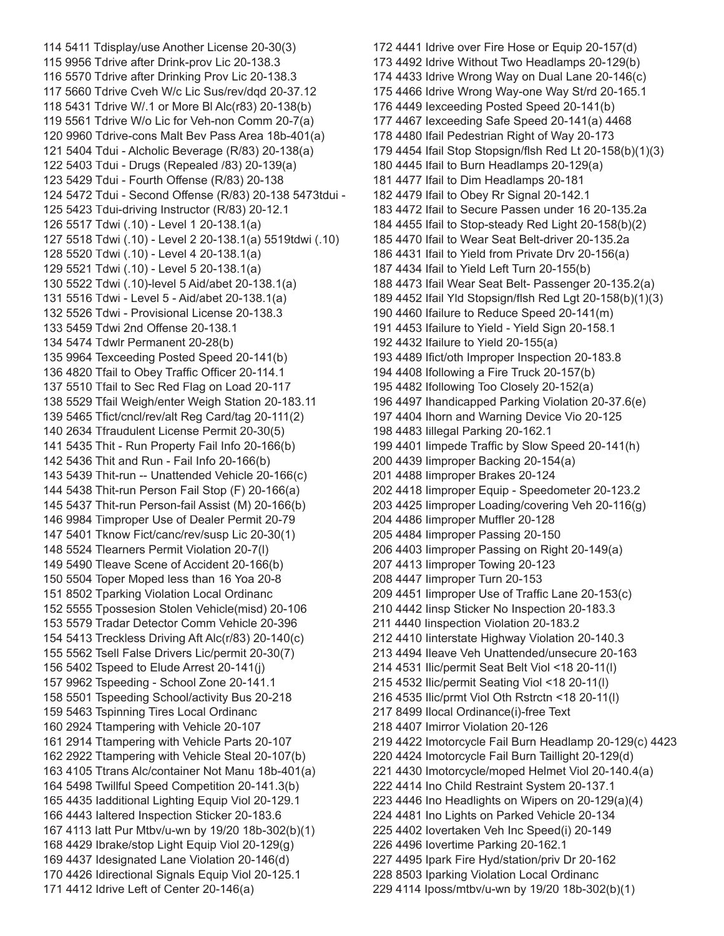114 5411 Tdisplay/use Another License 20-30(3) 115 9956 Tdrive after Drink-prov Lic 20-138.3 116 5570 Tdrive after Drinking Prov Lic 20-138.3 117 5660 Tdrive Cveh W/c Lic Sus/rev/dqd 20-37.12 118 5431 Tdrive W/.1 or More Bl Alc(r83) 20-138(b) 119 5561 Tdrive W/o Lic for Veh-non Comm 20-7(a) 120 9960 Tdrive-cons Malt Bev Pass Area 18b-401(a) 121 5404 Tdui - Alcholic Beverage (R/83) 20-138(a) 122 5403 Tdui - Drugs (Repealed /83) 20-139(a) 123 5429 Tdui - Fourth Offense (R/83) 20-138 124 5472 Tdui - Second Offense (R/83) 20-138 5473tdui - 125 5423 Tdui-driving Instructor (R/83) 20-12.1 126 5517 Tdwi (.10) - Level 1 20-138.1(a) 127 5518 Tdwi (.10) - Level 2 20-138.1(a) 5519tdwi (.10) 128 5520 Tdwi (.10) - Level 4 20-138.1(a) 129 5521 Tdwi (.10) - Level 5 20-138.1(a) 130 5522 Tdwi (.10)-level 5 Aid/abet 20-138.1(a) 131 5516 Tdwi - Level 5 - Aid/abet 20-138.1(a) 132 5526 Tdwi - Provisional License 20-138.3 133 5459 Tdwi 2nd Offense 20-138.1 134 5474 Tdwlr Permanent 20-28(b) 135 9964 Texceeding Posted Speed 20-141(b) 136 4820 Tfail to Obey Traffic Officer 20-114.1 137 5510 Tfail to Sec Red Flag on Load 20-117 138 5529 Tfail Weigh/enter Weigh Station 20-183.11 139 5465 Tfict/cncl/rev/alt Reg Card/tag 20-111(2) 140 2634 Tfraudulent License Permit 20-30(5) 141 5435 Thit - Run Property Fail Info 20-166(b) 142 5436 Thit and Run - Fail Info 20-166(b) 143 5439 Thit-run -- Unattended Vehicle 20-166(c) 144 5438 Thit-run Person Fail Stop (F) 20-166(a) 145 5437 Thit-run Person-fail Assist (M) 20-166(b) 146 9984 Timproper Use of Dealer Permit 20-79 147 5401 Tknow Fict/canc/rev/susp Lic 20-30(1) 148 5524 Tlearners Permit Violation 20-7(l) 149 5490 Tleave Scene of Accident 20-166(b) 150 5504 Toper Moped less than 16 Yoa 20-8 151 8502 Tparking Violation Local Ordinanc 152 5555 Tpossesion Stolen Vehicle(misd) 20-106 153 5579 Tradar Detector Comm Vehicle 20-396 154 5413 Treckless Driving Aft Alc(r/83) 20-140(c) 155 5562 Tsell False Drivers Lic/permit 20-30(7) 156 5402 Tspeed to Elude Arrest 20-141(j) 157 9962 Tspeeding - School Zone 20-141.1 158 5501 Tspeeding School/activity Bus 20-218 159 5463 Tspinning Tires Local Ordinanc 160 2924 Ttampering with Vehicle 20-107 161 2914 Ttampering with Vehicle Parts 20-107 162 2922 Ttampering with Vehicle Steal 20-107(b) 163 4105 Ttrans Alc/container Not Manu 18b-401(a) 164 5498 Twillful Speed Competition 20-141.3(b) 165 4435 Iadditional Lighting Equip Viol 20-129.1 166 4443 Ialtered Inspection Sticker 20-183.6 167 4113 Iatt Pur Mtbv/u-wn by 19/20 18b-302(b)(1) 168 4429 Ibrake/stop Light Equip Viol 20-129(g) 169 4437 Idesignated Lane Violation 20-146(d) 170 4426 Idirectional Signals Equip Viol 20-125.1 171 4412 Idrive Left of Center 20-146(a)

172 4441 Idrive over Fire Hose or Equip 20-157(d) 173 4492 Idrive Without Two Headlamps 20-129(b) 174 4433 Idrive Wrong Way on Dual Lane 20-146(c) 175 4466 Idrive Wrong Way-one Way St/rd 20-165.1 176 4449 Iexceeding Posted Speed 20-141(b) 177 4467 Iexceeding Safe Speed 20-141(a) 4468 178 4480 Ifail Pedestrian Right of Way 20-173 179 4454 Ifail Stop Stopsign/flsh Red Lt 20-158(b)(1)(3) 180 4445 Ifail to Burn Headlamps 20-129(a) 181 4477 Ifail to Dim Headlamps 20-181 182 4479 Ifail to Obey Rr Signal 20-142.1 183 4472 Ifail to Secure Passen under 16 20-135.2a 184 4455 Ifail to Stop-steady Red Light 20-158(b)(2) 185 4470 Ifail to Wear Seat Belt-driver 20-135.2a 186 4431 Ifail to Yield from Private Drv 20-156(a) 187 4434 Ifail to Yield Left Turn 20-155(b) 188 4473 Ifail Wear Seat Belt- Passenger 20-135.2(a) 189 4452 Ifail Yld Stopsign/flsh Red Lgt 20-158(b)(1)(3) 190 4460 Ifailure to Reduce Speed 20-141(m) 191 4453 Ifailure to Yield - Yield Sign 20-158.1 192 4432 Ifailure to Yield 20-155(a) 193 4489 Ifict/oth Improper Inspection 20-183.8 194 4408 Ifollowing a Fire Truck 20-157(b) 195 4482 Ifollowing Too Closely 20-152(a) 196 4497 Ihandicapped Parking Violation 20-37.6(e) 197 4404 Ihorn and Warning Device Vio 20-125 198 4483 Iillegal Parking 20-162.1 199 4401 limpede Traffic by Slow Speed 20-141(h) 200 4439 Iimproper Backing 20-154(a) 201 4488 Iimproper Brakes 20-124 202 4418 Iimproper Equip - Speedometer 20-123.2 203 4425 Iimproper Loading/covering Veh 20-116(g) 204 4486 limproper Muffler 20-128 205 4484 Iimproper Passing 20-150 206 4403 Iimproper Passing on Right 20-149(a) 207 4413 Iimproper Towing 20-123 208 4447 Iimproper Turn 20-153 209 4451 limproper Use of Traffic Lane 20-153(c) 210 4442 Iinsp Sticker No Inspection 20-183.3 211 4440 Iinspection Violation 20-183.2 212 4410 Iinterstate Highway Violation 20-140.3 213 4494 Ileave Veh Unattended/unsecure 20-163 214 4531 Ilic/permit Seat Belt Viol <18 20-11(l) 215 4532 Ilic/permit Seating Viol <18 20-11(l) 216 4535 Ilic/prmt Viol Oth Rstrctn <18 20-11(l) 217 8499 Ilocal Ordinance(i)-free Text 218 4407 Imirror Violation 20-126 219 4422 Imotorcycle Fail Burn Headlamp 20-129(c) 4423 220 4424 Imotorcycle Fail Burn Taillight 20-129(d) 221 4430 Imotorcycle/moped Helmet Viol 20-140.4(a) 222 4414 Ino Child Restraint System 20-137.1 223 4446 Ino Headlights on Wipers on 20-129(a)(4) 224 4481 Ino Lights on Parked Vehicle 20-134 225 4402 Iovertaken Veh Inc Speed(i) 20-149 226 4496 Iovertime Parking 20-162.1 227 4495 Ipark Fire Hyd/station/priv Dr 20-162 228 8503 Iparking Violation Local Ordinanc 229 4114 Iposs/mtbv/u-wn by 19/20 18b-302(b)(1)